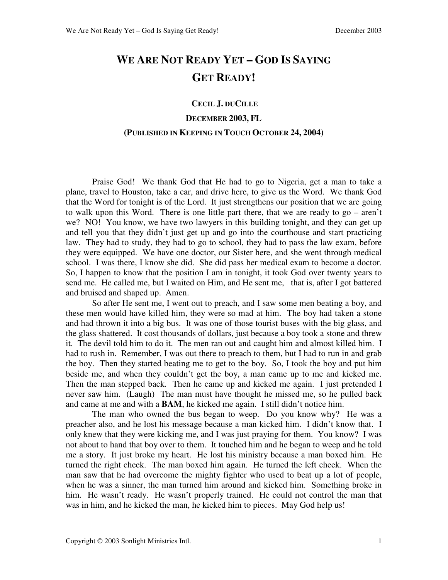# **WE ARE NOT READY YET – GOD IS SAYING GET READY!**

#### **CECIL J. DUCILLE**

## **DECEMBER 2003, FL**

#### **(PUBLISHED IN KEEPING IN TOUCH OCTOBER 24, 2004)**

 Praise God! We thank God that He had to go to Nigeria, get a man to take a plane, travel to Houston, take a car, and drive here, to give us the Word. We thank God that the Word for tonight is of the Lord. It just strengthens our position that we are going to walk upon this Word. There is one little part there, that we are ready to go – aren't we? NO! You know, we have two lawyers in this building tonight, and they can get up and tell you that they didn't just get up and go into the courthouse and start practicing law. They had to study, they had to go to school, they had to pass the law exam, before they were equipped. We have one doctor, our Sister here, and she went through medical school. I was there, I know she did. She did pass her medical exam to become a doctor. So, I happen to know that the position I am in tonight, it took God over twenty years to send me. He called me, but I waited on Him, and He sent me, that is, after I got battered and bruised and shaped up. Amen.

 So after He sent me, I went out to preach, and I saw some men beating a boy, and these men would have killed him, they were so mad at him. The boy had taken a stone and had thrown it into a big bus. It was one of those tourist buses with the big glass, and the glass shattered. It cost thousands of dollars, just because a boy took a stone and threw it. The devil told him to do it. The men ran out and caught him and almost killed him. I had to rush in. Remember, I was out there to preach to them, but I had to run in and grab the boy. Then they started beating me to get to the boy. So, I took the boy and put him beside me, and when they couldn't get the boy, a man came up to me and kicked me. Then the man stepped back. Then he came up and kicked me again. I just pretended I never saw him. (Laugh) The man must have thought he missed me, so he pulled back and came at me and with a **BAM**, he kicked me again. I still didn't notice him.

 The man who owned the bus began to weep. Do you know why? He was a preacher also, and he lost his message because a man kicked him. I didn't know that. I only knew that they were kicking me, and I was just praying for them. You know? I was not about to hand that boy over to them. It touched him and he began to weep and he told me a story. It just broke my heart. He lost his ministry because a man boxed him. He turned the right cheek. The man boxed him again. He turned the left cheek. When the man saw that he had overcome the mighty fighter who used to beat up a lot of people, when he was a sinner, the man turned him around and kicked him. Something broke in him. He wasn't ready. He wasn't properly trained. He could not control the man that was in him, and he kicked the man, he kicked him to pieces. May God help us!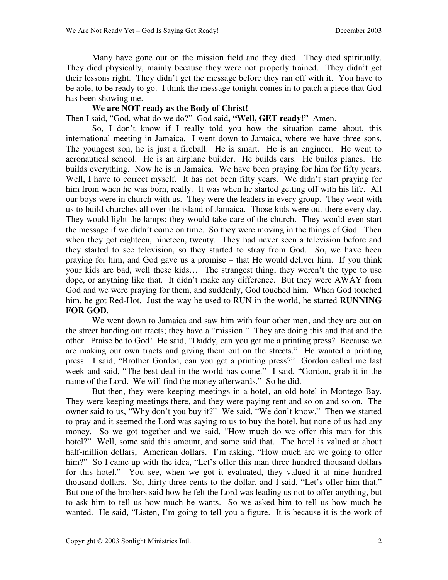Many have gone out on the mission field and they died. They died spiritually. They died physically, mainly because they were not properly trained. They didn't get their lessons right. They didn't get the message before they ran off with it. You have to be able, to be ready to go. I think the message tonight comes in to patch a piece that God has been showing me.

### **We are NOT ready as the Body of Christ!**

Then I said, "God, what do we do?" God said**, "Well, GET ready!"** Amen.

 So, I don't know if I really told you how the situation came about, this international meeting in Jamaica. I went down to Jamaica, where we have three sons. The youngest son, he is just a fireball. He is smart. He is an engineer. He went to aeronautical school. He is an airplane builder. He builds cars. He builds planes. He builds everything. Now he is in Jamaica. We have been praying for him for fifty years. Well, I have to correct myself. It has not been fifty years. We didn't start praying for him from when he was born, really. It was when he started getting off with his life. All our boys were in church with us. They were the leaders in every group. They went with us to build churches all over the island of Jamaica. Those kids were out there every day. They would light the lamps; they would take care of the church. They would even start the message if we didn't come on time. So they were moving in the things of God. Then when they got eighteen, nineteen, twenty. They had never seen a television before and they started to see television, so they started to stray from God. So, we have been praying for him, and God gave us a promise – that He would deliver him. If you think your kids are bad, well these kids… The strangest thing, they weren't the type to use dope, or anything like that. It didn't make any difference. But they were AWAY from God and we were praying for them, and suddenly, God touched him. When God touched him, he got Red-Hot. Just the way he used to RUN in the world, he started **RUNNING FOR GOD**.

 We went down to Jamaica and saw him with four other men, and they are out on the street handing out tracts; they have a "mission." They are doing this and that and the other. Praise be to God! He said, "Daddy, can you get me a printing press? Because we are making our own tracts and giving them out on the streets." He wanted a printing press. I said, "Brother Gordon, can you get a printing press?" Gordon called me last week and said, "The best deal in the world has come." I said, "Gordon, grab it in the name of the Lord. We will find the money afterwards." So he did.

 But then, they were keeping meetings in a hotel, an old hotel in Montego Bay. They were keeping meetings there, and they were paying rent and so on and so on. The owner said to us, "Why don't you buy it?" We said, "We don't know." Then we started to pray and it seemed the Lord was saying to us to buy the hotel, but none of us had any money. So we got together and we said, "How much do we offer this man for this hotel?" Well, some said this amount, and some said that. The hotel is valued at about half-million dollars, American dollars. I'm asking, "How much are we going to offer him?" So I came up with the idea, "Let's offer this man three hundred thousand dollars for this hotel." You see, when we got it evaluated, they valued it at nine hundred thousand dollars. So, thirty-three cents to the dollar, and I said, "Let's offer him that." But one of the brothers said how he felt the Lord was leading us not to offer anything, but to ask him to tell us how much he wants. So we asked him to tell us how much he wanted. He said, "Listen, I'm going to tell you a figure. It is because it is the work of